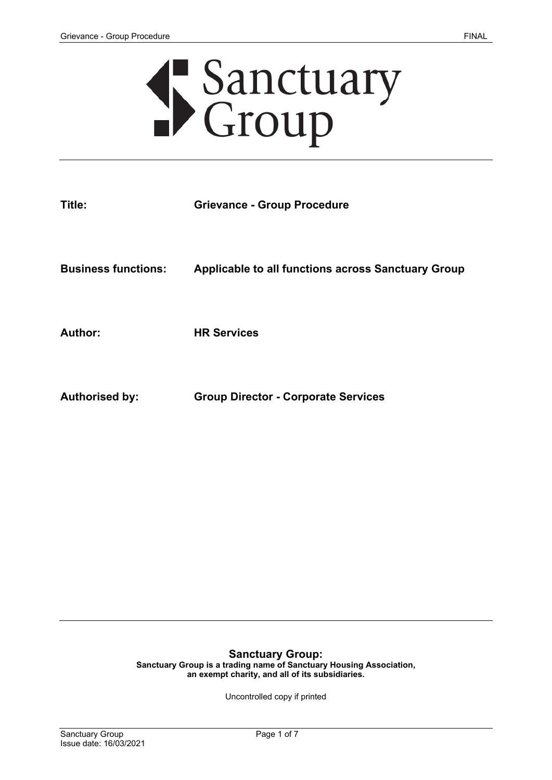# Sanctuary<br>Croup

| Title:                     | <b>Grievance - Group Procedure</b>                        |
|----------------------------|-----------------------------------------------------------|
| <b>Business functions:</b> | <b>Applicable to all functions across Sanctuary Group</b> |
| <b>Author:</b>             | <b>HR Services</b>                                        |
| <b>Authorised by:</b>      | <b>Group Director - Corporate Services</b>                |

# **Sanctuary Group:**

**Sanctuary Group is a trading name of Sanctuary Housing Association, an exempt charity, and all of its subsidiaries.** 

Uncontrolled copy if printed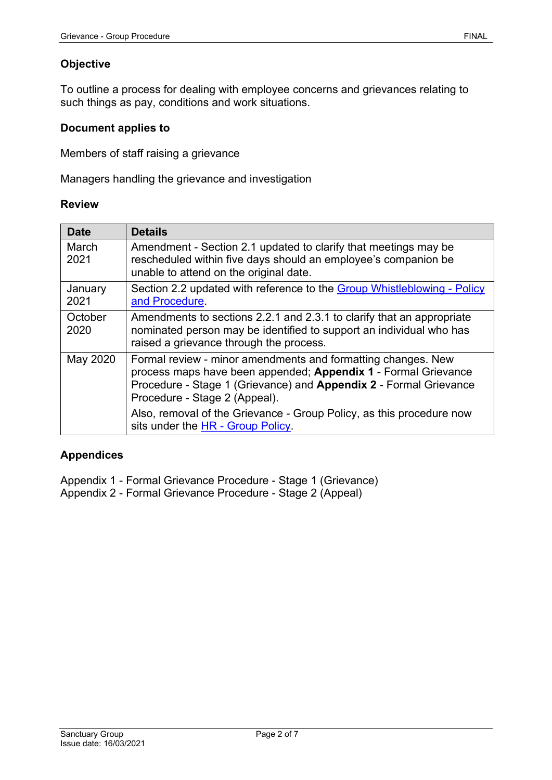# **Objective**

To outline a process for dealing with employee concerns and grievances relating to such things as pay, conditions and work situations.

### **Document applies to**

Members of staff raising a grievance

Managers handling the grievance and investigation

#### **Review**

| <b>Date</b>     | <b>Details</b>                                                                                                                                                                                                                       |
|-----------------|--------------------------------------------------------------------------------------------------------------------------------------------------------------------------------------------------------------------------------------|
| March<br>2021   | Amendment - Section 2.1 updated to clarify that meetings may be<br>rescheduled within five days should an employee's companion be<br>unable to attend on the original date.                                                          |
| January<br>2021 | Section 2.2 updated with reference to the Group Whistleblowing - Policy<br>and Procedure.                                                                                                                                            |
| October<br>2020 | Amendments to sections 2.2.1 and 2.3.1 to clarify that an appropriate<br>nominated person may be identified to support an individual who has<br>raised a grievance through the process.                                              |
| May 2020        | Formal review - minor amendments and formatting changes. New<br>process maps have been appended; Appendix 1 - Formal Grievance<br>Procedure - Stage 1 (Grievance) and Appendix 2 - Formal Grievance<br>Procedure - Stage 2 (Appeal). |
|                 | Also, removal of the Grievance - Group Policy, as this procedure now<br>sits under the HR - Group Policy.                                                                                                                            |

### **Appendices**

Appendix 1 - Formal Grievance Procedure - Stage 1 (Grievance) Appendix 2 - Formal Grievance Procedure - Stage 2 (Appeal)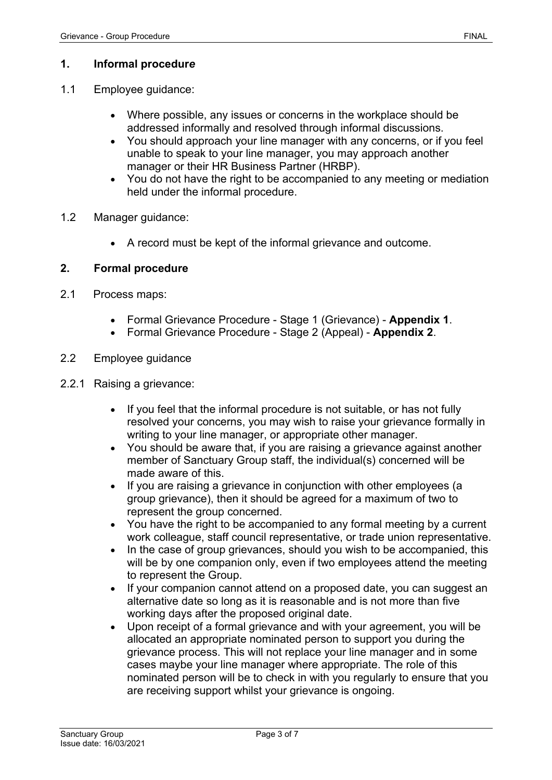# **1. Informal procedur***e*

- 1.1 Employee guidance:
	- Where possible, any issues or concerns in the workplace should be addressed informally and resolved through informal discussions.
	- You should approach your line manager with any concerns, or if you feel unable to speak to your line manager, you may approach another manager or their HR Business Partner (HRBP).
	- You do not have the right to be accompanied to any meeting or mediation held under the informal procedure.
- 1.2 Manager guidance:
	- A record must be kept of the informal grievance and outcome.

# **2. Formal procedure**

- 2.1 Process maps:
	- Formal Grievance Procedure Stage 1 (Grievance) **Appendix 1**.
	- Formal Grievance Procedure Stage 2 (Appeal) **Appendix 2**.
- 2.2 Employee guidance
- 2.2.1 Raising a grievance:
	- If you feel that the informal procedure is not suitable, or has not fully resolved your concerns, you may wish to raise your grievance formally in writing to your line manager, or appropriate other manager.
	- You should be aware that, if you are raising a grievance against another member of Sanctuary Group staff, the individual(s) concerned will be made aware of this.
	- If you are raising a grievance in conjunction with other employees (a group grievance), then it should be agreed for a maximum of two to represent the group concerned.
	- You have the right to be accompanied to any formal meeting by a current work colleague, staff council representative, or trade union representative.
	- In the case of group grievances, should you wish to be accompanied, this will be by one companion only, even if two employees attend the meeting to represent the Group.
	- If your companion cannot attend on a proposed date, you can suggest an alternative date so long as it is reasonable and is not more than five working days after the proposed original date.
	- Upon receipt of a formal grievance and with your agreement, you will be allocated an appropriate nominated person to support you during the grievance process. This will not replace your line manager and in some cases maybe your line manager where appropriate. The role of this nominated person will be to check in with you regularly to ensure that you are receiving support whilst your grievance is ongoing.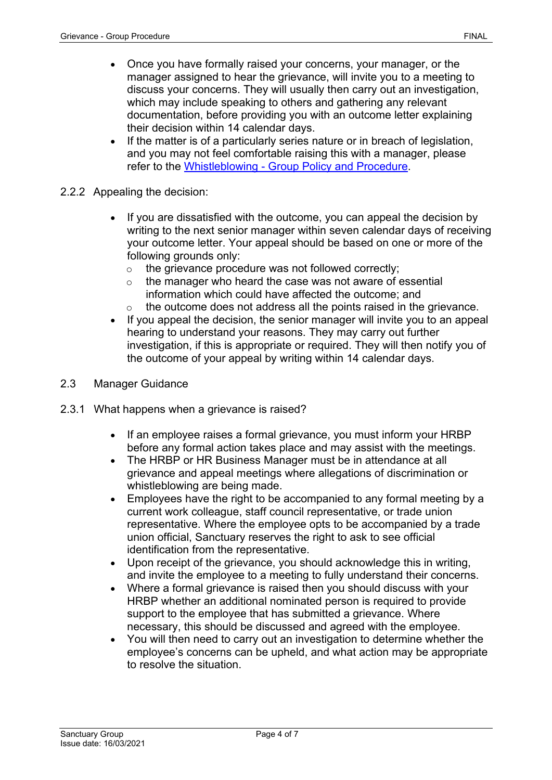- Once you have formally raised your concerns, your manager, or the manager assigned to hear the grievance, will invite you to a meeting to discuss your concerns. They will usually then carry out an investigation, which may include speaking to others and gathering any relevant documentation, before providing you with an outcome letter explaining their decision within 14 calendar days.
- If the matter is of a particularly series nature or in breach of legislation, and you may not feel comfortable raising this with a manager, please refer to the Whistleblowing - [Group Policy and Procedure.](https://solis/PolicyManagement/policy/Policies/Forms/Policy%20Document%20Set/docsethomepage.aspx?ID=4388&FolderCTID=0x0120D52000DE99EA054D4DF944BE591D81E49729D0008C670BDB86BED740B0B89E295CD8357C&List=a03723e1-d48b-4958-9669-9b86a90ef8b0&RootFolder=%2FPolicyManagement%2Fpolicy%2FPolicies%2FWhistleblowing%20%2D%20Group&RecSrc=%2FPolicyManagement%2Fpolicy%2FPolicies%2FWhistleblowing%20%2D%20Group)
- 2.2.2 Appealing the decision:
	- If you are dissatisfied with the outcome, you can appeal the decision by writing to the next senior manager within seven calendar days of receiving your outcome letter. Your appeal should be based on one or more of the following grounds only:
		- o the grievance procedure was not followed correctly;
		- $\circ$  the manager who heard the case was not aware of essential information which could have affected the outcome; and
		- $\circ$  the outcome does not address all the points raised in the grievance.
	- If you appeal the decision, the senior manager will invite you to an appeal hearing to understand your reasons. They may carry out further investigation, if this is appropriate or required. They will then notify you of the outcome of your appeal by writing within 14 calendar days.
- 2.3 Manager Guidance
- 2.3.1 What happens when a grievance is raised?
	- If an employee raises a formal grievance, you must inform your HRBP before any formal action takes place and may assist with the meetings.
	- The HRBP or HR Business Manager must be in attendance at all grievance and appeal meetings where allegations of discrimination or whistleblowing are being made.
	- Employees have the right to be accompanied to any formal meeting by a current work colleague, staff council representative, or trade union representative. Where the employee opts to be accompanied by a trade union official, Sanctuary reserves the right to ask to see official identification from the representative.
	- Upon receipt of the grievance, you should acknowledge this in writing, and invite the employee to a meeting to fully understand their concerns.
	- Where a formal grievance is raised then you should discuss with your HRBP whether an additional nominated person is required to provide support to the employee that has submitted a grievance. Where necessary, this should be discussed and agreed with the employee.
	- You will then need to carry out an investigation to determine whether the employee's concerns can be upheld, and what action may be appropriate to resolve the situation.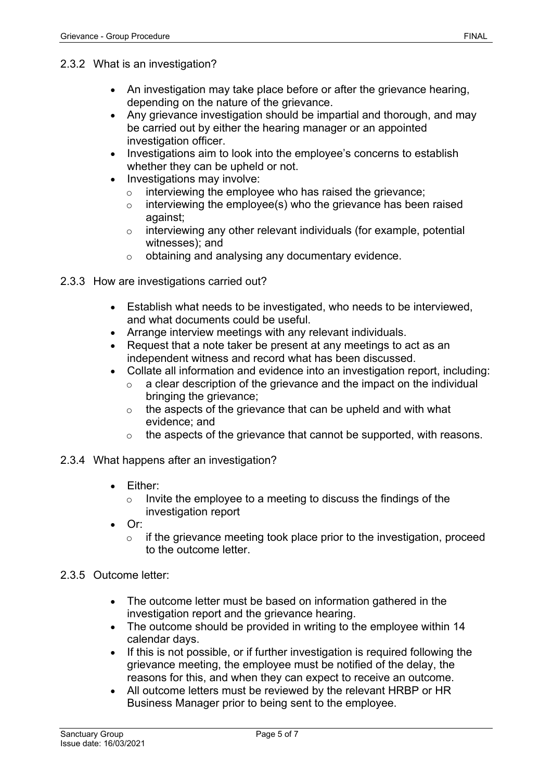- 2.3.2 What is an investigation?
	- An investigation may take place before or after the grievance hearing, depending on the nature of the grievance.
	- Any grievance investigation should be impartial and thorough, and may be carried out by either the hearing manager or an appointed investigation officer.
	- Investigations aim to look into the employee's concerns to establish whether they can be upheld or not.
	- Investigations may involve:
		- $\circ$  interviewing the employee who has raised the grievance;
		- $\circ$  interviewing the employee(s) who the grievance has been raised against;
		- $\circ$  interviewing any other relevant individuals (for example, potential witnesses); and
		- o obtaining and analysing any documentary evidence.
- 2.3.3 How are investigations carried out?
	- Establish what needs to be investigated, who needs to be interviewed, and what documents could be useful.
	- Arrange interview meetings with any relevant individuals.
	- Request that a note taker be present at any meetings to act as an independent witness and record what has been discussed.
	- Collate all information and evidence into an investigation report, including:
		- $\circ$  a clear description of the grievance and the impact on the individual bringing the grievance;
		- o the aspects of the grievance that can be upheld and with what evidence; and
		- o the aspects of the grievance that cannot be supported, with reasons.
- 2.3.4 What happens after an investigation?
	- Either:
		- o Invite the employee to a meeting to discuss the findings of the investigation report
	- Or:
		- $\circ$  if the grievance meeting took place prior to the investigation, proceed to the outcome letter.
- 2.3.5 Outcome letter:
	- The outcome letter must be based on information gathered in the investigation report and the grievance hearing.
	- The outcome should be provided in writing to the employee within 14 calendar days.
	- If this is not possible, or if further investigation is required following the grievance meeting, the employee must be notified of the delay, the reasons for this, and when they can expect to receive an outcome.
	- All outcome letters must be reviewed by the relevant HRBP or HR Business Manager prior to being sent to the employee.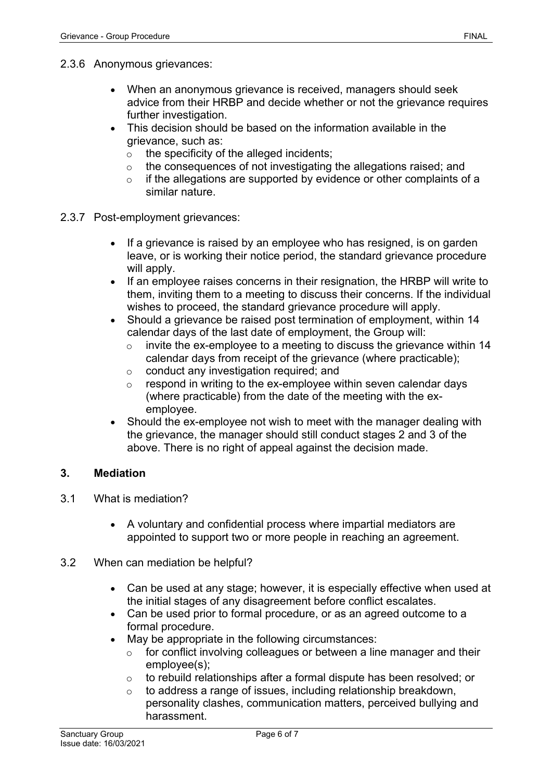- 2.3.6 Anonymous grievances:
	- When an anonymous grievance is received, managers should seek advice from their HRBP and decide whether or not the grievance requires further investigation.
	- This decision should be based on the information available in the grievance, such as:
		- $\circ$  the specificity of the alleged incidents;
		- o the consequences of not investigating the allegations raised; and
		- $\circ$  if the allegations are supported by evidence or other complaints of a similar nature.
- 2.3.7 Post-employment grievances:
	- If a grievance is raised by an employee who has resigned, is on garden leave, or is working their notice period, the standard grievance procedure will apply.
	- If an employee raises concerns in their resignation, the HRBP will write to them, inviting them to a meeting to discuss their concerns. If the individual wishes to proceed, the standard grievance procedure will apply.
	- Should a grievance be raised post termination of employment, within 14 calendar days of the last date of employment, the Group will:
		- $\circ$  invite the ex-employee to a meeting to discuss the grievance within 14 calendar days from receipt of the grievance (where practicable);
		- o conduct any investigation required; and<br>
		o respond in writing to the ex-employee w
		- respond in writing to the ex-employee within seven calendar days (where practicable) from the date of the meeting with the exemployee.
	- Should the ex-employee not wish to meet with the manager dealing with the grievance, the manager should still conduct stages 2 and 3 of the above. There is no right of appeal against the decision made.

## **3. Mediation**

- 3.1 What is mediation?
	- A voluntary and confidential process where impartial mediators are appointed to support two or more people in reaching an agreement.
- 3.2 When can mediation be helpful?
	- Can be used at any stage; however, it is especially effective when used at the initial stages of any disagreement before conflict escalates.
	- Can be used prior to formal procedure, or as an agreed outcome to a formal procedure.
	- May be appropriate in the following circumstances:
		- for conflict involving colleagues or between a line manager and their employee(s);
		- o to rebuild relationships after a formal dispute has been resolved; or
		- $\circ$  to address a range of issues, including relationship breakdown, personality clashes, communication matters, perceived bullying and harassment.